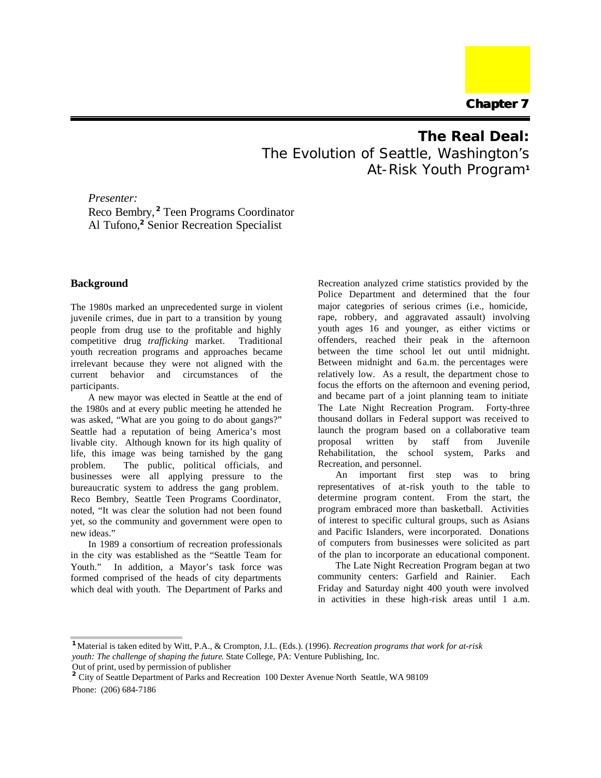

*The Real Deal:* The Evolution of Seattle, Washington's At-Risk Youth Program**<sup>1</sup>**

*Presenter:*

Reco Bembry, **<sup>2</sup>** Teen Programs Coordinator Al Tufono,**<sup>2</sup>** Senior Recreation Specialist

### **Background**

The 1980s marked an unprecedented surge in violent juvenile crimes, due in part to a transition by young people from drug use to the profitable and highly competitive drug *trafficking* market. Traditional youth recreation programs and approaches became irrelevant because they were not aligned with the current behavior and circumstances of the participants.

A new mayor was elected in Seattle at the end of the 1980s and at every public meeting he attended he was asked, "What are you going to do about gangs?" Seattle had a reputation of being America's most livable city. Although known for its high quality of life, this image was being tarnished by the gang problem. The public, political officials, and businesses were all applying pressure to the bureaucratic system to address the gang problem. Reco Bembry, Seattle Teen Programs Coordinator, noted, "It was clear the solution had not been found yet, so the community and government were open to new ideas."

In 1989 a consortium of recreation professionals in the city was established as the "Seattle Team for Youth." In addition, a Mayor's task force was formed comprised of the heads of city departments which deal with youth. The Department of Parks and Recreation analyzed crime statistics provided by the Police Department and determined that the four major categories of serious crimes (i.e., homicide, rape, robbery, and aggravated assault) involving youth ages 16 and younger, as either victims or offenders, reached their peak in the afternoon between the time school let out until midnight. Between midnight and 6 a.m. the percentages were relatively low. As a result, the department chose to focus the efforts on the afternoon and evening period, and became part of a joint planning team to initiate The Late Night Recreation Program. Forty-three thousand dollars in Federal support was received to launch the program based on a collaborative team proposal written by staff from Juvenile Rehabilitation, the school system, Parks and Recreation, and personnel.

An important first step was to bring representatives of at-risk youth to the table to determine program content. From the start, the program embraced more than basketball. Activities of interest to specific cultural groups, such as Asians and Pacific Islanders, were incorporated. Donations of computers from businesses were solicited as part of the plan to incorporate an educational component.

The Late Night Recreation Program began at two community centers: Garfield and Rainier. Each Friday and Saturday night 400 youth were involved in activities in these high-risk areas until 1 a.m.

**<sup>1</sup>**Material is taken edited by Witt, P.A., & Crompton, J.L. (Eds.). (1996). *Recreation programs that work for at-risk youth: The challenge of shaping the future*. State College, PA: Venture Publishing, Inc.

Out of print, used by permission of publisher

<sup>&</sup>lt;sup>2</sup> City of Seattle Department of Parks and Recreation 100 Dexter Avenue North Seattle, WA 98109 Phone: (206) 684-7186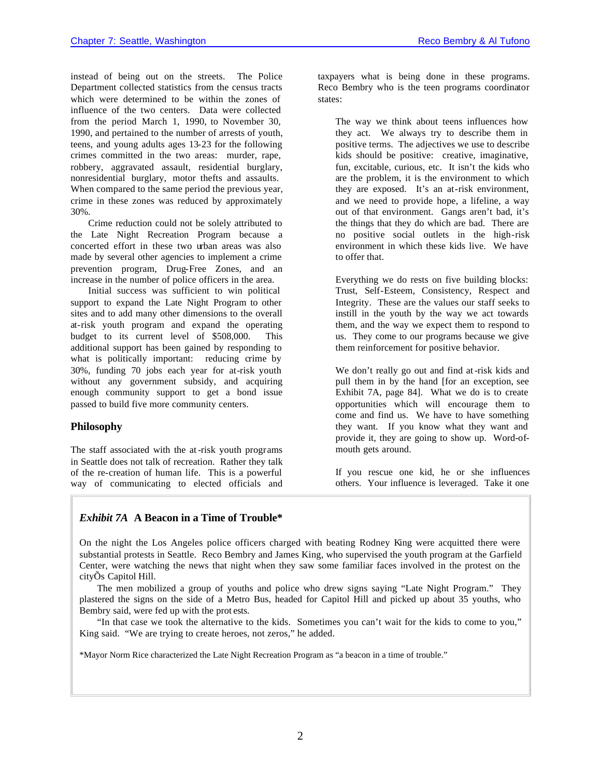instead of being out on the streets. The Police Department collected statistics from the census tracts which were determined to be within the zones of influence of the two centers. Data were collected from the period March 1, 1990, to November 30, 1990, and pertained to the number of arrests of youth, teens, and young adults ages 13-23 for the following crimes committed in the two areas: murder, rape, robbery, aggravated assault, residential burglary, nonresidential burglary, motor thefts and assaults. When compared to the same period the previous year, crime in these zones was reduced by approximately 30%.

Crime reduction could not be solely attributed to the Late Night Recreation Program because a concerted effort in these two urban areas was also made by several other agencies to implement a crime prevention program, Drug-Free Zones, and an increase in the number of police officers in the area.

Initial success was sufficient to win political support to expand the Late Night Program to other sites and to add many other dimensions to the overall at-risk youth program and expand the operating budget to its current level of \$508,000. This additional support has been gained by responding to what is politically important: reducing crime by 30%, funding 70 jobs each year for at-risk youth without any government subsidy, and acquiring enough community support to get a bond issue passed to build five more community centers.

### **Philosophy**

The staff associated with the at-risk youth programs in Seattle does not talk of recreation. Rather they talk of the re-creation of human life. This is a powerful way of communicating to elected officials and taxpayers what is being done in these programs. Reco Bembry who is the teen programs coordinator states:

The way we think about teens influences how they act. We always try to describe them in positive terms. The adjectives we use to describe kids should be positive: creative, imaginative, fun, excitable, curious, etc. It isn't the kids who are the problem, it is the environment to which they are exposed. It's an at-risk environment, and we need to provide hope, a lifeline, a way out of that environment. Gangs aren't bad, it's the things that they do which are bad. There are no positive social outlets in the high-risk environment in which these kids live. We have to offer that.

Everything we do rests on five building blocks: Trust, Self-Esteem, Consistency, Respect and Integrity. These are the values our staff seeks to instill in the youth by the way we act towards them, and the way we expect them to respond to us. They come to our programs because we give them reinforcement for positive behavior.

We don't really go out and find at-risk kids and pull them in by the hand [for an exception, see Exhibit 7A, page 84]. What we do is to create opportunities which will encourage them to come and find us. We have to have something they want. If you know what they want and provide it, they are going to show up. Word-ofmouth gets around.

If you rescue one kid, he or she influences others. Your influence is leveraged. Take it one

# *Exhibit 7A* **A Beacon in a Time of Trouble\***

On the night the Los Angeles police officers charged with beating Rodney King were acquitted there were substantial protests in Seattle. Reco Bembry and James King, who supervised the youth program at the Garfield Center, were watching the news that night when they saw some familiar faces involved in the protest on the cityÕs Capitol Hill.

The men mobilized a group of youths and police who drew signs saying "Late Night Program." They plastered the signs on the side of a Metro Bus, headed for Capitol Hill and picked up about 35 youths, who Bembry said, were fed up with the prot ests.

"In that case we took the alternative to the kids. Sometimes you can't wait for the kids to come to you," King said. "We are trying to create heroes, not zeros," he added.

\*Mayor Norm Rice characterized the Late Night Recreation Program as "a beacon in a time of trouble."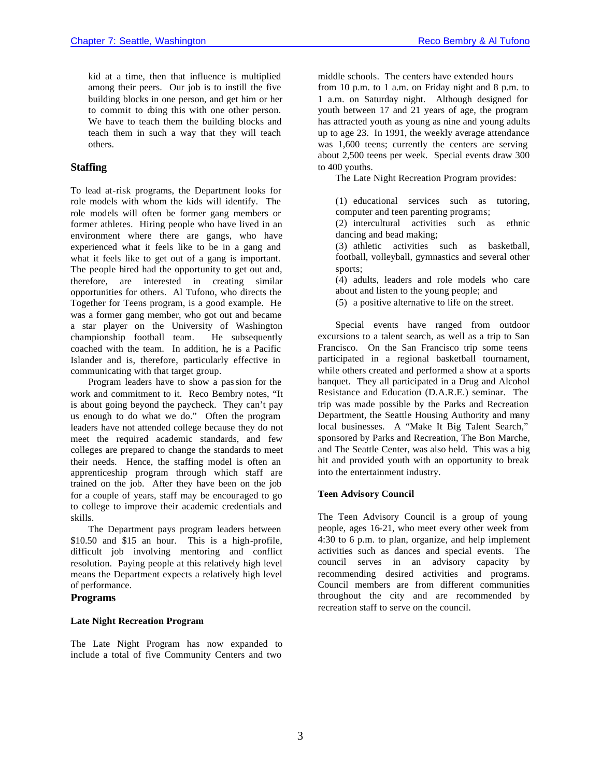kid at a time, then that influence is multiplied among their peers. Our job is to instill the five building blocks in one person, and get him or her to commit to doing this with one other person. We have to teach them the building blocks and teach them in such a way that they will teach others.

## **Staffing**

To lead at-risk programs, the Department looks for role models with whom the kids will identify. The role models will often be former gang members or former athletes. Hiring people who have lived in an environment where there are gangs, who have experienced what it feels like to be in a gang and what it feels like to get out of a gang is important. The people hired had the opportunity to get out and, therefore, are interested in creating similar opportunities for others. Al Tufono, who directs the Together for Teens program, is a good example. He was a former gang member, who got out and became a star player on the University of Washington championship football team. He subsequently coached with the team. In addition, he is a Pacific Islander and is, therefore, particularly effective in communicating with that target group.

Program leaders have to show a passion for the work and commitment to it. Reco Bembry notes, "It is about going beyond the paycheck. They can't pay us enough to do what we do." Often the program leaders have not attended college because they do not meet the required academic standards, and few colleges are prepared to change the standards to meet their needs. Hence, the staffing model is often an apprenticeship program through which staff are trained on the job. After they have been on the job for a couple of years, staff may be encouraged to go to college to improve their academic credentials and skills.

The Department pays program leaders between \$10.50 and \$15 an hour. This is a high-profile, difficult job involving mentoring and conflict resolution. Paying people at this relatively high level means the Department expects a relatively high level of performance.

### **Programs**

### **Late Night Recreation Program**

The Late Night Program has now expanded to include a total of five Community Centers and two

middle schools. The centers have extended hours from 10 p.m. to 1 a.m. on Friday night and 8 p.m. to 1 a.m. on Saturday night. Although designed for youth between 17 and 21 years of age, the program has attracted youth as young as nine and young adults up to age 23. In 1991, the weekly average attendance was 1,600 teens; currently the centers are serving about 2,500 teens per week. Special events draw 300 to 400 youths.

The Late Night Recreation Program provides:

(1) educational services such as tutoring, computer and teen parenting programs;

(2) intercultural activities such as ethnic dancing and bead making;

(3) athletic activities such as basketball, football, volleyball, gymnastics and several other sports;

(4) adults, leaders and role models who care about and listen to the young people; and

(5) a positive alternative to life on the street.

Special events have ranged from outdoor excursions to a talent search, as well as a trip to San Francisco. On the San Francisco trip some teens participated in a regional basketball tournament, while others created and performed a show at a sports banquet. They all participated in a Drug and Alcohol Resistance and Education (D.A.R.E.) seminar. The trip was made possible by the Parks and Recreation Department, the Seattle Housing Authority and many local businesses. A "Make It Big Talent Search," sponsored by Parks and Recreation, The Bon Marche, and The Seattle Center, was also held. This was a big hit and provided youth with an opportunity to break into the entertainment industry.

### **Teen Advisory Council**

The Teen Advisory Council is a group of young people, ages 16-21, who meet every other week from 4:30 to 6 p.m. to plan, organize, and help implement activities such as dances and special events. The council serves in an advisory capacity by recommending desired activities and programs. Council members are from different communities throughout the city and are recommended by recreation staff to serve on the council.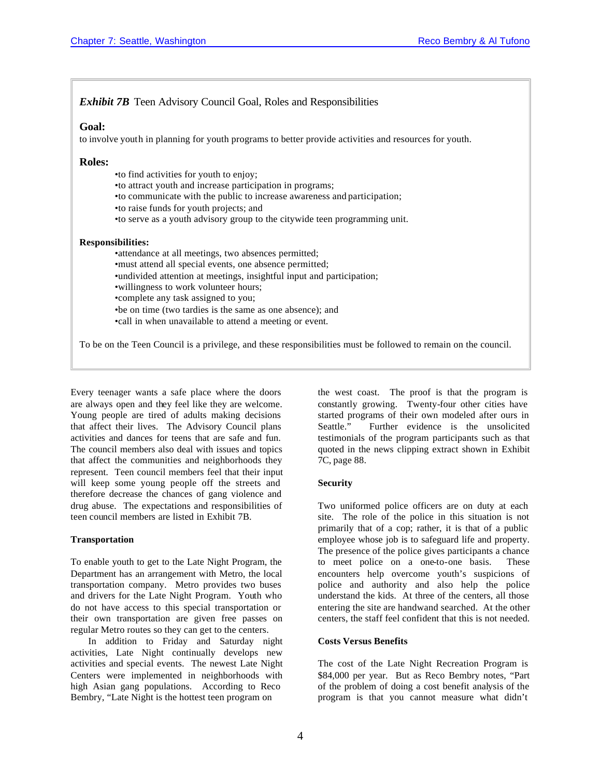## **Exhibit 7B** Teen Advisory Council Goal, Roles and Responsibilities

### **Goal:**

to involve youth in planning for youth programs to better provide activities and resources for youth.

### **Roles:**

•to find activities for youth to enjoy; •to attract youth and increase participation in programs; •to communicate with the public to increase awareness and participation; •to raise funds for youth projects; and •to serve as a youth advisory group to the citywide teen programming unit. **Responsibilities:** •attendance at all meetings, two absences permitted; •must attend all special events, one absence permitted;

•undivided attention at meetings, insightful input and participation;

•willingness to work volunteer hours;

•complete any task assigned to you;

•be on time (two tardies is the same as one absence); and

•call in when unavailable to attend a meeting or event.

To be on the Teen Council is a privilege, and these responsibilities must be followed to remain on the council.

Every teenager wants a safe place where the doors are always open and they feel like they are welcome. Young people are tired of adults making decisions that affect their lives. The Advisory Council plans activities and dances for teens that are safe and fun. The council members also deal with issues and topics that affect the communities and neighborhoods they represent. Teen council members feel that their input will keep some young people off the streets and therefore decrease the chances of gang violence and drug abuse. The expectations and responsibilities of teen council members are listed in Exhibit 7B.

### **Transportation**

To enable youth to get to the Late Night Program, the Department has an arrangement with Metro, the local transportation company. Metro provides two buses and drivers for the Late Night Program. Youth who do not have access to this special transportation or their own transportation are given free passes on regular Metro routes so they can get to the centers.

In addition to Friday and Saturday night activities, Late Night continually develops new activities and special events. The newest Late Night Centers were implemented in neighborhoods with high Asian gang populations. According to Reco Bembry, "Late Night is the hottest teen program on

the west coast. The proof is that the program is constantly growing. Twenty-four other cities have started programs of their own modeled after ours in Seattle." Further evidence is the unsolicited testimonials of the program participants such as that quoted in the news clipping extract shown in Exhibit 7C, page 88.

### **Security**

Two uniformed police officers are on duty at each site. The role of the police in this situation is not primarily that of a cop; rather, it is that of a public employee whose job is to safeguard life and property. The presence of the police gives participants a chance to meet police on a one-to-one basis. These encounters help overcome youth's suspicions of police and authority and also help the police understand the kids. At three of the centers, all those entering the site are handwand searched. At the other centers, the staff feel confident that this is not needed.

### **Costs Versus Benefits**

The cost of the Late Night Recreation Program is \$84,000 per year. But as Reco Bembry notes, "Part of the problem of doing a cost benefit analysis of the program is that you cannot measure what didn't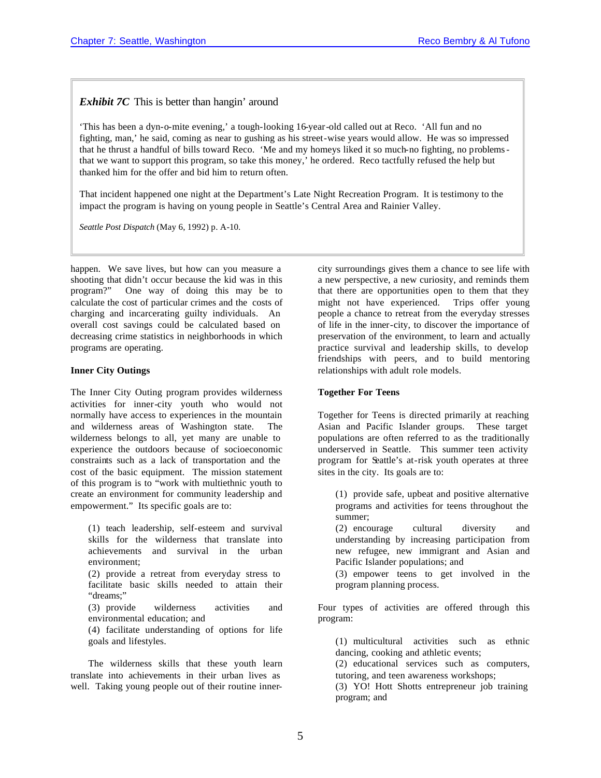### **Exhibit 7C** This is better than hangin' around

'This has been a dyn-o-mite evening,' a tough-looking 16-year-old called out at Reco. 'All fun and no fighting, man,' he said, coming as near to gushing as his street-wise years would allow. He was so impressed that he thrust a handful of bills toward Reco. 'Me and my homeys liked it so much-no fighting, no problemsthat we want to support this program, so take this money,' he ordered. Reco tactfully refused the help but thanked him for the offer and bid him to return often.

That incident happened one night at the Department's Late Night Recreation Program. It is testimony to the impact the program is having on young people in Seattle's Central Area and Rainier Valley.

*Seattle Post Dispatch* (May 6, 1992) p. A-10.

happen. We save lives, but how can you measure a shooting that didn't occur because the kid was in this program?" One way of doing this may be to calculate the cost of particular crimes and the costs of charging and incarcerating guilty individuals. An overall cost savings could be calculated based on decreasing crime statistics in neighborhoods in which programs are operating.

#### **Inner City Outings**

The Inner City Outing program provides wilderness activities for inner-city youth who would not normally have access to experiences in the mountain and wilderness areas of Washington state. The wilderness belongs to all, yet many are unable to experience the outdoors because of socioeconomic constraints such as a lack of transportation and the cost of the basic equipment. The mission statement of this program is to "work with multiethnic youth to create an environment for community leadership and empowerment." Its specific goals are to:

(1) teach leadership, self-esteem and survival skills for the wilderness that translate into achievements and survival in the urban environment;

(2) provide a retreat from everyday stress to facilitate basic skills needed to attain their "dreams;"

(3) provide wilderness activities and environmental education; and

(4) facilitate understanding of options for life goals and lifestyles.

The wilderness skills that these youth learn translate into achievements in their urban lives as well. Taking young people out of their routine innercity surroundings gives them a chance to see life with a new perspective, a new curiosity, and reminds them that there are opportunities open to them that they might not have experienced. Trips offer young people a chance to retreat from the everyday stresses of life in the inner-city, to discover the importance of preservation of the environment, to learn and actually practice survival and leadership skills, to develop friendships with peers, and to build mentoring relationships with adult role models.

### **Together For Teens**

Together for Teens is directed primarily at reaching Asian and Pacific Islander groups. These target populations are often referred to as the traditionally underserved in Seattle. This summer teen activity program for Seattle's at-risk youth operates at three sites in the city. Its goals are to:

(1) provide safe, upbeat and positive alternative programs and activities for teens throughout the summer;

(2) encourage cultural diversity and understanding by increasing participation from new refugee, new immigrant and Asian and Pacific Islander populations; and

(3) empower teens to get involved in the program planning process.

Four types of activities are offered through this program:

(1) multicultural activities such as ethnic dancing, cooking and athletic events;

(2) educational services such as computers, tutoring, and teen awareness workshops;

(3) YO! Hott Shotts entrepreneur job training program; and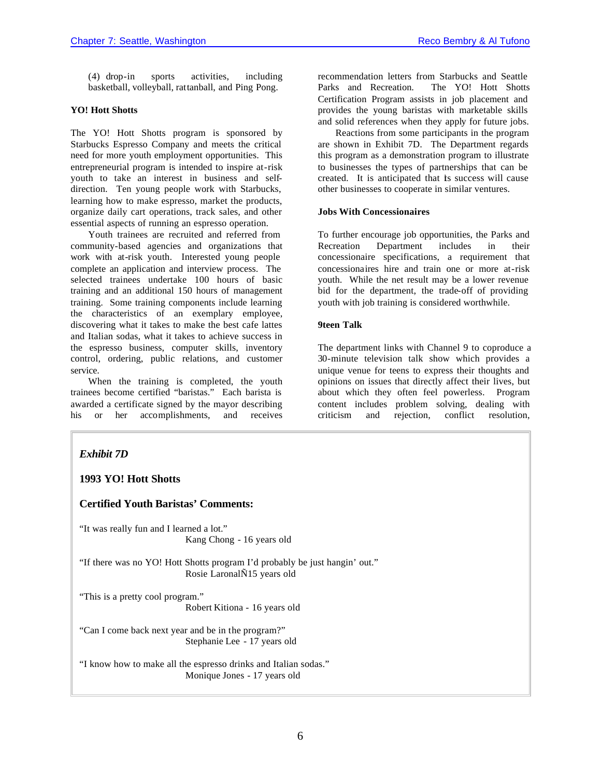(4) drop-in sports activities, including basketball, volleyball, rattanball, and Ping Pong.

#### **YO! Hott Shotts**

The YO! Hott Shotts program is sponsored by Starbucks Espresso Company and meets the critical need for more youth employment opportunities. This entrepreneurial program is intended to inspire at-risk youth to take an interest in business and selfdirection. Ten young people work with Starbucks, learning how to make espresso, market the products, organize daily cart operations, track sales, and other essential aspects of running an espresso operation.

Youth trainees are recruited and referred from community-based agencies and organizations that work with at-risk youth. Interested young people complete an application and interview process. The selected trainees undertake 100 hours of basic training and an additional 150 hours of management training. Some training components include learning the characteristics of an exemplary employee, discovering what it takes to make the best cafe lattes and Italian sodas, what it takes to achieve success in the espresso business, computer skills, inventory control, ordering, public relations, and customer service.

When the training is completed, the youth trainees become certified "baristas." Each barista is awarded a certificate signed by the mayor describing his or her accomplishments, and receives recommendation letters from Starbucks and Seattle Parks and Recreation. The YO! Hott Shotts Certification Program assists in job placement and provides the young baristas with marketable skills and solid references when they apply for future jobs.

Reactions from some participants in the program are shown in Exhibit 7D. The Department regards this program as a demonstration program to illustrate to businesses the types of partnerships that can be created. It is anticipated that is success will cause other businesses to cooperate in similar ventures.

### **Jobs With Concessionaires**

To further encourage job opportunities, the Parks and Recreation Department includes in their concessionaire specifications, a requirement that concessionaires hire and train one or more at-risk youth. While the net result may be a lower revenue bid for the department, the trade-off of providing youth with job training is considered worthwhile.

#### **9teen Talk**

The department links with Channel 9 to coproduce a 30-minute television talk show which provides a unique venue for teens to express their thoughts and opinions on issues that directly affect their lives, but about which they often feel powerless. Program content includes problem solving, dealing with criticism and rejection, conflict resolution,

### *Exhibit 7D*

**1993 YO! Hott Shotts** 

### **Certified Youth Baristas' Comments:**

"It was really fun and I learned a lot." Kang Chong - 16 years old

"If there was no YO! Hott Shotts program I'd probably be just hangin' out." Rosie LaronalÑ15 years old

"This is a pretty cool program."

Robert Kitiona - 16 years old

"Can I come back next year and be in the program?" Stephanie Lee - 17 years old

"I know how to make all the espresso drinks and Italian sodas." Monique Jones - 17 years old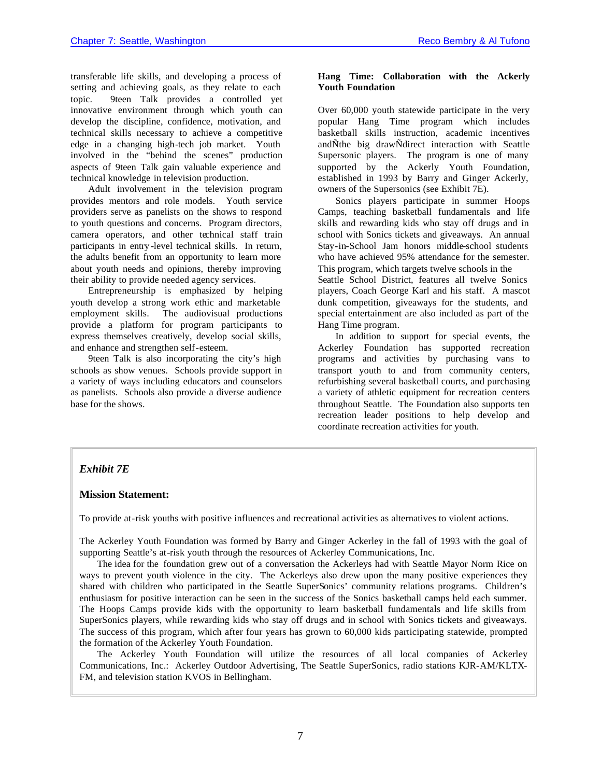transferable life skills, and developing a process of setting and achieving goals, as they relate to each topic. 9teen Talk provides a controlled yet innovative environment through which youth can develop the discipline, confidence, motivation, and technical skills necessary to achieve a competitive edge in a changing high-tech job market. Youth involved in the "behind the scenes" production aspects of 9teen Talk gain valuable experience and technical knowledge in television production.

Adult involvement in the television program provides mentors and role models. Youth service providers serve as panelists on the shows to respond to youth questions and concerns. Program directors, camera operators, and other technical staff train participants in entry -level technical skills. In return, the adults benefit from an opportunity to learn more about youth needs and opinions, thereby improving their ability to provide needed agency services.

Entrepreneurship is emphasized by helping youth develop a strong work ethic and marketable employment skills. The audiovisual productions provide a platform for program participants to express themselves creatively, develop social skills, and enhance and strengthen self-esteem.

9teen Talk is also incorporating the city's high schools as show venues. Schools provide support in a variety of ways including educators and counselors as panelists. Schools also provide a diverse audience base for the shows.

### **Hang Time: Collaboration with the Ackerly Youth Foundation**

Over 60,000 youth statewide participate in the very popular Hang Time program which includes basketball skills instruction, academic incentives andÑthe big drawÑdirect interaction with Seattle Supersonic players. The program is one of many supported by the Ackerly Youth Foundation, established in 1993 by Barry and Ginger Ackerly, owners of the Supersonics (see Exhibit 7E).

Sonics players participate in summer Hoops Camps, teaching basketball fundamentals and life skills and rewarding kids who stay off drugs and in school with Sonics tickets and giveaways. An annual Stay-in-School Jam honors middle-school students who have achieved 95% attendance for the semester. This program, which targets twelve schools in the Seattle School District, features all twelve Sonics players, Coach George Karl and his staff. A mascot

dunk competition, giveaways for the students, and special entertainment are also included as part of the Hang Time program.

In addition to support for special events, the Ackerley Foundation has supported recreation programs and activities by purchasing vans to transport youth to and from community centers, refurbishing several basketball courts, and purchasing a variety of athletic equipment for recreation centers throughout Seattle. The Foundation also supports ten recreation leader positions to help develop and coordinate recreation activities for youth.

# *Exhibit 7E*

### **Mission Statement:**

To provide at-risk youths with positive influences and recreational activities as alternatives to violent actions.

The Ackerley Youth Foundation was formed by Barry and Ginger Ackerley in the fall of 1993 with the goal of supporting Seattle's at-risk youth through the resources of Ackerley Communications, Inc.

The idea for the foundation grew out of a conversation the Ackerleys had with Seattle Mayor Norm Rice on ways to prevent youth violence in the city. The Ackerleys also drew upon the many positive experiences they shared with children who participated in the Seattle SuperSonics' community relations programs. Children's enthusiasm for positive interaction can be seen in the success of the Sonics basketball camps held each summer. The Hoops Camps provide kids with the opportunity to learn basketball fundamentals and life skills from SuperSonics players, while rewarding kids who stay off drugs and in school with Sonics tickets and giveaways. The success of this program, which after four years has grown to 60,000 kids participating statewide, prompted the formation of the Ackerley Youth Foundation.

The Ackerley Youth Foundation will utilize the resources of all local companies of Ackerley Communications, Inc.: Ackerley Outdoor Advertising, The Seattle SuperSonics, radio stations KJR-AM/KLTX-FM, and television station KVOS in Bellingham.